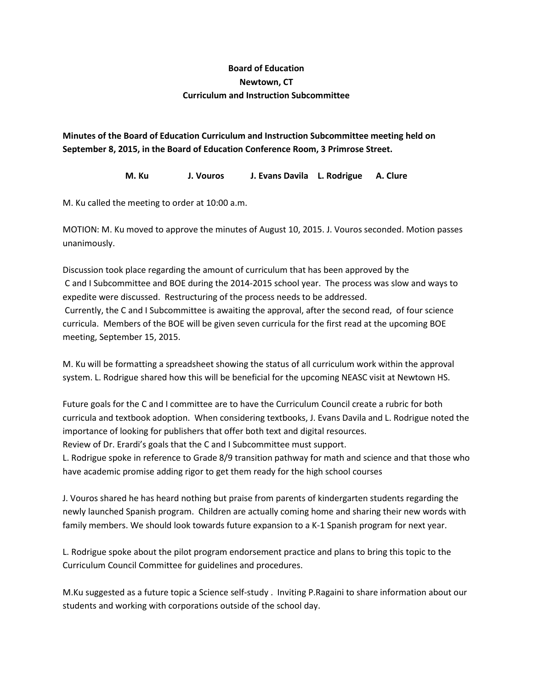## **Board of Education Newtown, CT Curriculum and Instruction Subcommittee**

**Minutes of the Board of Education Curriculum and Instruction Subcommittee meeting held on September 8, 2015, in the Board of Education Conference Room, 3 Primrose Street.**

**M. Ku J. Vouros J. Evans Davila L. Rodrigue A. Clure**

M. Ku called the meeting to order at 10:00 a.m.

MOTION: M. Ku moved to approve the minutes of August 10, 2015. J. Vouros seconded. Motion passes unanimously.

Discussion took place regarding the amount of curriculum that has been approved by the C and I Subcommittee and BOE during the 2014-2015 school year. The process was slow and ways to expedite were discussed. Restructuring of the process needs to be addressed. Currently, the C and I Subcommittee is awaiting the approval, after the second read, of four science curricula. Members of the BOE will be given seven curricula for the first read at the upcoming BOE meeting, September 15, 2015.

M. Ku will be formatting a spreadsheet showing the status of all curriculum work within the approval system. L. Rodrigue shared how this will be beneficial for the upcoming NEASC visit at Newtown HS.

Future goals for the C and I committee are to have the Curriculum Council create a rubric for both curricula and textbook adoption. When considering textbooks, J. Evans Davila and L. Rodrigue noted the importance of looking for publishers that offer both text and digital resources.

Review of Dr. Erardi's goals that the C and I Subcommittee must support.

L. Rodrigue spoke in reference to Grade 8/9 transition pathway for math and science and that those who have academic promise adding rigor to get them ready for the high school courses

J. Vouros shared he has heard nothing but praise from parents of kindergarten students regarding the newly launched Spanish program. Children are actually coming home and sharing their new words with family members. We should look towards future expansion to a K-1 Spanish program for next year.

L. Rodrigue spoke about the pilot program endorsement practice and plans to bring this topic to the Curriculum Council Committee for guidelines and procedures.

M.Ku suggested as a future topic a Science self-study . Inviting P.Ragaini to share information about our students and working with corporations outside of the school day.